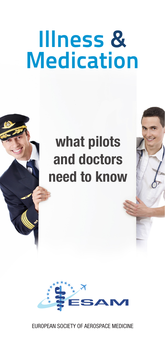## **Illness & Medication**

#### what pilots and doctors need to know



EUROPEAN SOCIETY OF AEROSPACE MEDICINE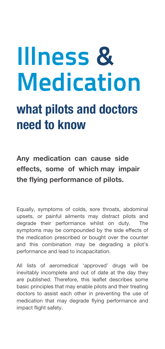# **Illness & Medication**

#### what pilots and doctors need to know

Any medication can cause side effects, some of which may impair the flying performance of pilots.

Equally, symptoms of colds, sore throats, abdominal upsets, or painful ailments may distract pilots and degrade their performance whilst on duty. The symptoms may be compounded by the side effects of the medication prescribed or bought over the counter and this combination may be degrading a pilot's performance and lead to incapacitation.

All lists of aeromedical 'approved' drugs will be inevitably incomplete and out of date at the day they are published. Therefore, this leaflet describes some basic principles that may enable pilots and their treating doctors to assist each other in preventing the use of medication that may degrade flying performance and impact flight safety.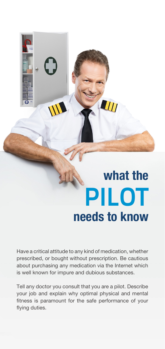### what the **PILOT** needs to know

**ANTI** 

Have a critical attitude to any kind of medication, whether prescribed, or bought without prescription. Be cautious about purchasing any medication via the Internet which is well known for impure and dubious substances.

Tell any doctor you consult that you are a pilot. Describe your job and explain why optimal physical and mental fitness is paramount for the safe performance of your flying duties.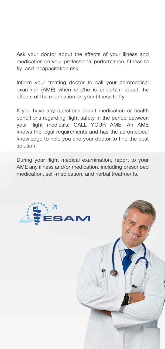Ask your doctor about the effects of your illness and medication on your professional performance, fitness to fly, and incapacitation risk.

Inform your treating doctor to call your aeromedical examiner (AME) when she/he is uncertain about the effects of the medication on your fitness to fly.

If you have any questions about medication or health conditions regarding flight safety in the period between your flight medicals: CALL YOUR AME. An AME knows the legal requirements and has the aeromedical knowledge to help you and your doctor to find the best solution.

During your flight medical examination, report to your AME any illness and/or medication, including prescribed medication, self-medication, and herbal treatments.

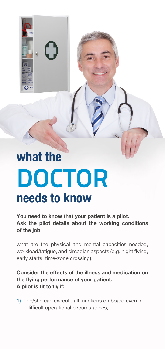

### what the **DOCTOR** needs to know

You need to know that your patient is a pilot. Ask the pilot details about the working conditions of the job:

what are the physical and mental capacities needed, workload/fatigue, and circadian aspects (e.g. night flying, early starts, time-zone crossing).

Consider the effects of the illness and medication on the flying performance of your patient. A pilot is fit to fly if:

1) he/she can execute all functions on board even in difficult operational circumstances;